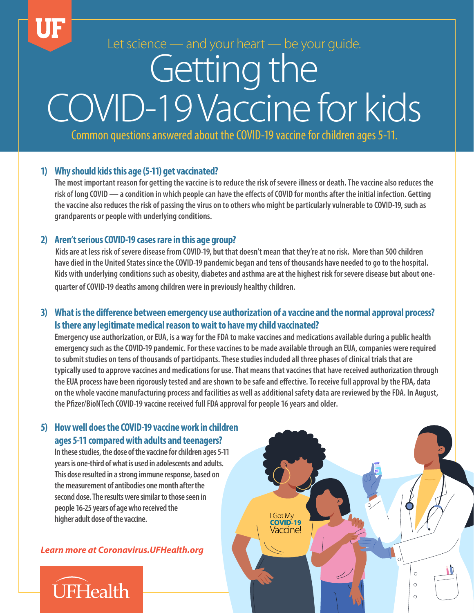Let science — and your heart — be your guide*.*

# Getting the COVID-19 Vaccine for kids

Common questions answered about the COVID-19 vaccine for children ages 5-11.

### **1) Why should kids this age (5-11) get vaccinated?**

**The most important reason for getting the vaccine is to reduce the risk of severe illness or death. The vaccine also reduces the risk of long COVID — a condition in which people can have the effects of COVID for months after the initial infection. Getting the vaccine also reduces the risk of passing the virus on to others who might be particularly vulnerable to COVID-19, such as grandparents or people with underlying conditions.** 

#### **2) Aren't serious COVID-19 cases rare in this age group?**

 **Kids are at less risk of severe disease from COVID-19, but that doesn't mean that they're at no risk. More than 500 children have died in the United States since the COVID-19 pandemic began and tens of thousands have needed to go to the hospital. Kids with underlying conditions such as obesity, diabetes and asthma are at the highest risk for severe disease but about onequarter of COVID-19 deaths among children were in previously healthy children.** 

## **3) What is the difference between emergency use authorization of a vaccine and the normal approval process? Is there any legitimate medical reason to wait to have my child vaccinated?**

**Emergency use authorization, or EUA, is a way for the FDA to make vaccines and medications available during a public health emergency such as the COVID-19 pandemic. For these vaccines to be made available through an EUA, companies were required to submit studies on tens of thousands of participants. These studies included all three phases of clinical trials that are typically used to approve vaccines and medications for use. That means that vaccines that have received authorization through the EUA process have been rigorously tested and are shown to be safe and effective. To receive full approval by the FDA, data on the whole vaccine manufacturing process and facilities as well as additional safety data are reviewed by the FDA. In August, the Pfizer/BioNTech COVID-19 vaccine received full FDA approval for people 16 years and older.** 

> I Got My<br>**COVID-19** Vaccine!

> > $\circ$  $\circ$

 $\circ$ 

## **5) How well does the COVID-19 vaccine work in children ages 5-11 compared with adults and teenagers?**

**In these studies, the dose of the vaccine for children ages 5-11 years is one-third of what is used in adolescents and adults. This dose resulted in a strong immune response, based on the measurement of antibodies one month after the second dose. The results were similar to those seen in people 16-25 years of age who received the higher adult dose of the vaccine.** 

*Learn more at Coronavirus.UFHealth.org*